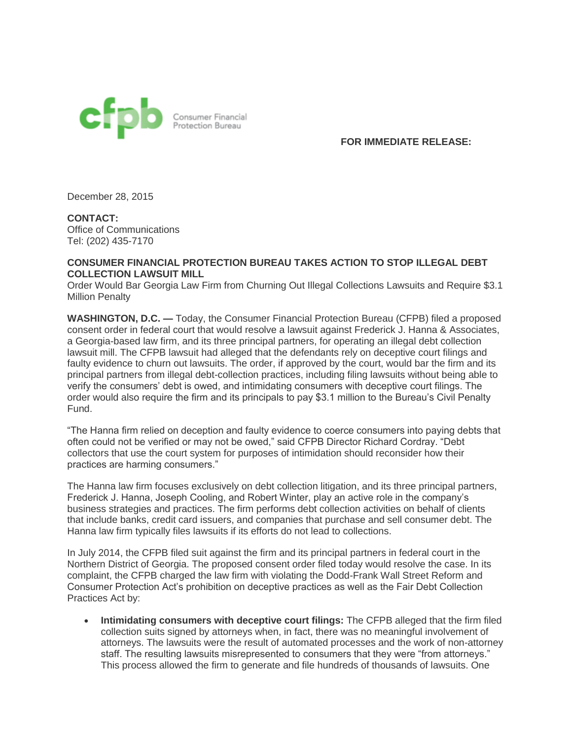

**FOR IMMEDIATE RELEASE:**

December 28, 2015

**CONTACT:** Office of Communications Tel: (202) 435-7170

## **CONSUMER FINANCIAL PROTECTION BUREAU TAKES ACTION TO STOP ILLEGAL DEBT COLLECTION LAWSUIT MILL**

Order Would Bar Georgia Law Firm from Churning Out Illegal Collections Lawsuits and Require \$3.1 Million Penalty

**WASHINGTON, D.C. —** Today, the Consumer Financial Protection Bureau (CFPB) filed a proposed consent order in federal court that would resolve a lawsuit against Frederick J. Hanna & Associates, a Georgia-based law firm, and its three principal partners, for operating an illegal debt collection lawsuit mill. The CFPB lawsuit had alleged that the defendants rely on deceptive court filings and faulty evidence to churn out lawsuits. The order, if approved by the court, would bar the firm and its principal partners from illegal debt-collection practices, including filing lawsuits without being able to verify the consumers' debt is owed, and intimidating consumers with deceptive court filings. The order would also require the firm and its principals to pay \$3.1 million to the Bureau's Civil Penalty Fund.

"The Hanna firm relied on deception and faulty evidence to coerce consumers into paying debts that often could not be verified or may not be owed," said CFPB Director Richard Cordray. "Debt collectors that use the court system for purposes of intimidation should reconsider how their practices are harming consumers."

The Hanna law firm focuses exclusively on debt collection litigation, and its three principal partners, Frederick J. Hanna, Joseph Cooling, and Robert Winter, play an active role in the company's business strategies and practices. The firm performs debt collection activities on behalf of clients that include banks, credit card issuers, and companies that purchase and sell consumer debt. The Hanna law firm typically files lawsuits if its efforts do not lead to collections.

In July 2014, the CFPB filed suit against the firm and its principal partners in federal court in the Northern District of Georgia. The proposed consent order filed today would resolve the case. In its complaint, the CFPB charged the law firm with violating the Dodd-Frank Wall Street Reform and Consumer Protection Act's prohibition on deceptive practices as well as the Fair Debt Collection Practices Act by:

 **Intimidating consumers with deceptive court filings:** The CFPB alleged that the firm filed collection suits signed by attorneys when, in fact, there was no meaningful involvement of attorneys. The lawsuits were the result of automated processes and the work of non-attorney staff. The resulting lawsuits misrepresented to consumers that they were "from attorneys." This process allowed the firm to generate and file hundreds of thousands of lawsuits. One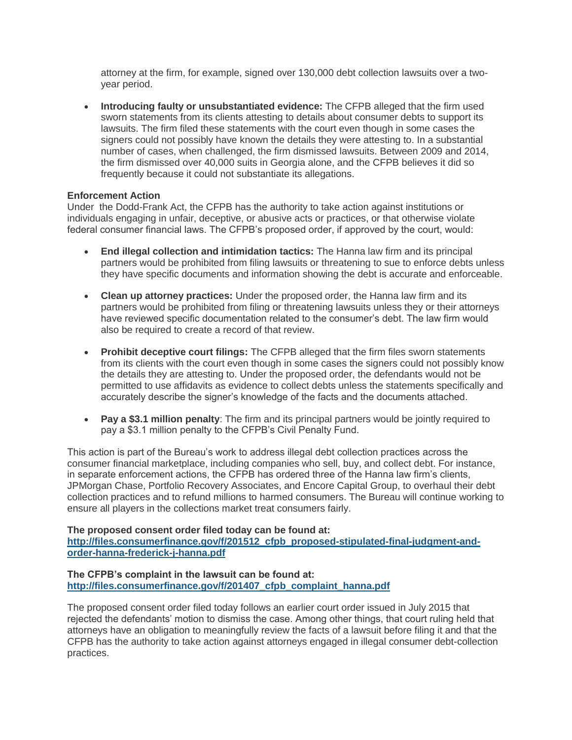attorney at the firm, for example, signed over 130,000 debt collection lawsuits over a twoyear period.

 **Introducing faulty or unsubstantiated evidence:** The CFPB alleged that the firm used sworn statements from its clients attesting to details about consumer debts to support its lawsuits. The firm filed these statements with the court even though in some cases the signers could not possibly have known the details they were attesting to. In a substantial number of cases, when challenged, the firm dismissed lawsuits. Between 2009 and 2014, the firm dismissed over 40,000 suits in Georgia alone, and the CFPB believes it did so frequently because it could not substantiate its allegations.

## **Enforcement Action**

Under the Dodd-Frank Act, the CFPB has the authority to take action against institutions or individuals engaging in unfair, deceptive, or abusive acts or practices, or that otherwise violate federal consumer financial laws. The CFPB's proposed order, if approved by the court, would:

- **End illegal collection and intimidation tactics:** The Hanna law firm and its principal partners would be prohibited from filing lawsuits or threatening to sue to enforce debts unless they have specific documents and information showing the debt is accurate and enforceable.
- **Clean up attorney practices:** Under the proposed order, the Hanna law firm and its partners would be prohibited from filing or threatening lawsuits unless they or their attorneys have reviewed specific documentation related to the consumer's debt. The law firm would also be required to create a record of that review.
- **Prohibit deceptive court filings:** The CFPB alleged that the firm files sworn statements from its clients with the court even though in some cases the signers could not possibly know the details they are attesting to. Under the proposed order, the defendants would not be permitted to use affidavits as evidence to collect debts unless the statements specifically and accurately describe the signer's knowledge of the facts and the documents attached.
- **Pay a \$3.1 million penalty**: The firm and its principal partners would be jointly required to pay a \$3.1 million penalty to the CFPB's Civil Penalty Fund.

This action is part of the Bureau's work to address illegal debt collection practices across the consumer financial marketplace, including companies who sell, buy, and collect debt. For instance, in separate enforcement actions, the CFPB has ordered three of the Hanna law firm's clients, JPMorgan Chase, Portfolio Recovery Associates, and Encore Capital Group, to overhaul their debt collection practices and to refund millions to harmed consumers. The Bureau will continue working to ensure all players in the collections market treat consumers fairly.

## **The proposed consent order filed today can be found at:**

**[http://files.consumerfinance.gov/f/201512\\_cfpb\\_proposed-stipulated-final-judgment-and](http://links.govdelivery.com/track?type=click&enid=ZWFzPTEmbWFpbGluZ2lkPTIwMTUxMjI4LjUzMjE3NDgxJm1lc3NhZ2VpZD1NREItUFJELUJVTC0yMDE1MTIyOC41MzIxNzQ4MSZkYXRhYmFzZWlkPTEwMDEmc2VyaWFsPTE3MjQzNDYxJmVtYWlsaWQ9dGJhdWVyQGluc2lkZWFybS5jb20mdXNlcmlkPXRiYXVlckBpbnNpZGVhcm0uY29tJmZsPSZleHRyYT1NdWx0aXZhcmlhdGVJZD0mJiY=&&&100&&&http://files.consumerfinance.gov/f/201512_cfpb_proposed-stipulated-final-judgment-and-order-hanna-frederick-j-hanna.pdf)[order-hanna-frederick-j-hanna.pdf](http://links.govdelivery.com/track?type=click&enid=ZWFzPTEmbWFpbGluZ2lkPTIwMTUxMjI4LjUzMjE3NDgxJm1lc3NhZ2VpZD1NREItUFJELUJVTC0yMDE1MTIyOC41MzIxNzQ4MSZkYXRhYmFzZWlkPTEwMDEmc2VyaWFsPTE3MjQzNDYxJmVtYWlsaWQ9dGJhdWVyQGluc2lkZWFybS5jb20mdXNlcmlkPXRiYXVlckBpbnNpZGVhcm0uY29tJmZsPSZleHRyYT1NdWx0aXZhcmlhdGVJZD0mJiY=&&&100&&&http://files.consumerfinance.gov/f/201512_cfpb_proposed-stipulated-final-judgment-and-order-hanna-frederick-j-hanna.pdf)**

## **The CFPB's complaint in the lawsuit can be found at: [http://files.consumerfinance.gov/f/201407\\_cfpb\\_complaint\\_hanna.pdf](http://links.govdelivery.com/track?type=click&enid=ZWFzPTEmbWFpbGluZ2lkPTIwMTUxMjI4LjUzMjE3NDgxJm1lc3NhZ2VpZD1NREItUFJELUJVTC0yMDE1MTIyOC41MzIxNzQ4MSZkYXRhYmFzZWlkPTEwMDEmc2VyaWFsPTE3MjQzNDYxJmVtYWlsaWQ9dGJhdWVyQGluc2lkZWFybS5jb20mdXNlcmlkPXRiYXVlckBpbnNpZGVhcm0uY29tJmZsPSZleHRyYT1NdWx0aXZhcmlhdGVJZD0mJiY=&&&101&&&http://files.consumerfinance.gov/f/201407_cfpb_complaint_hanna.pdf)**

The proposed consent order filed today follows an earlier court order issued in July 2015 that rejected the defendants' motion to dismiss the case. Among other things, that court ruling held that attorneys have an obligation to meaningfully review the facts of a lawsuit before filing it and that the CFPB has the authority to take action against attorneys engaged in illegal consumer debt-collection practices.